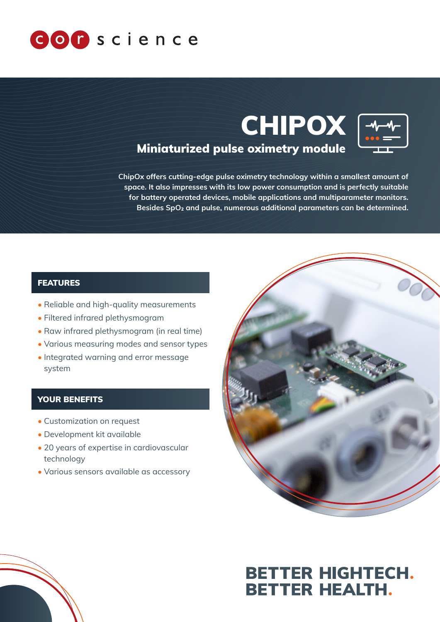





## Miniaturized pulse oximetry module

ChipOx offers cutting-edge pulse oximetry technology within a smallest amount of space. It also impresses with its low power consumption and is perfectly suitable for battery operated devices, mobile applications and multiparameter monitors. Besides SpO<sub>2</sub> and pulse, numerous additional parameters can be determined.

#### FEATURES

- Reliable and high-quality measurements
- Filtered infrared plethysmogram
- Raw infrared plethysmogram (in real time)
- Various measuring modes and sensor types
- Integrated warning and error message system

#### YOUR BENEFITS

- Customization on request
- Development kit available
- 20 years of expertise in cardiovascular technology
- Various sensors available as accessory



# **BETTER HIGHTECH. BETTER HEALTH.**